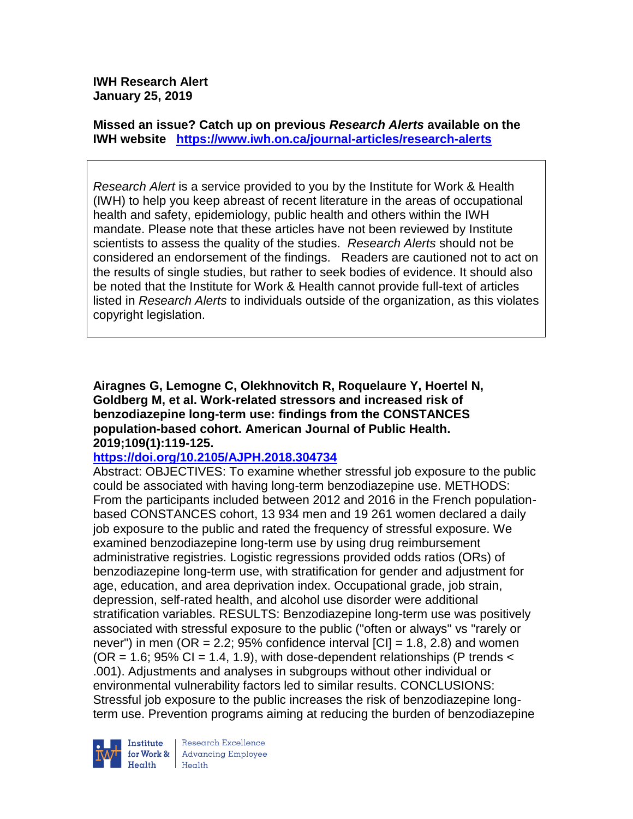**IWH Research Alert January 25, 2019**

**Missed an issue? Catch up on previous** *Research Alerts* **available on the [IWH website](http://www.iwh.on.ca/research-alerts) <https://www.iwh.on.ca/journal-articles/research-alerts>**

*Research Alert* is a service provided to you by the Institute for Work & Health (IWH) to help you keep abreast of recent literature in the areas of occupational health and safety, epidemiology, public health and others within the IWH mandate. Please note that these articles have not been reviewed by Institute scientists to assess the quality of the studies. *Research Alerts* should not be considered an endorsement of the findings. Readers are cautioned not to act on the results of single studies, but rather to seek bodies of evidence. It should also be noted that the Institute for Work & Health cannot provide full-text of articles listed in *Research Alerts* to individuals outside of the organization, as this violates copyright legislation.

**Airagnes G, Lemogne C, Olekhnovitch R, Roquelaure Y, Hoertel N, Goldberg M, et al. Work-related stressors and increased risk of benzodiazepine long-term use: findings from the CONSTANCES population-based cohort. American Journal of Public Health. 2019;109(1):119-125.**

## **<https://doi.org/10.2105/AJPH.2018.304734>**

Abstract: OBJECTIVES: To examine whether stressful job exposure to the public could be associated with having long-term benzodiazepine use. METHODS: From the participants included between 2012 and 2016 in the French populationbased CONSTANCES cohort, 13 934 men and 19 261 women declared a daily job exposure to the public and rated the frequency of stressful exposure. We examined benzodiazepine long-term use by using drug reimbursement administrative registries. Logistic regressions provided odds ratios (ORs) of benzodiazepine long-term use, with stratification for gender and adjustment for age, education, and area deprivation index. Occupational grade, job strain, depression, self-rated health, and alcohol use disorder were additional stratification variables. RESULTS: Benzodiazepine long-term use was positively associated with stressful exposure to the public ("often or always" vs "rarely or never") in men (OR = 2.2;  $95\%$  confidence interval  $|CI|$  = 1.8, 2.8) and women  $(OR = 1.6; 95\% CI = 1.4, 1.9)$ , with dose-dependent relationships (P trends < .001). Adjustments and analyses in subgroups without other individual or environmental vulnerability factors led to similar results. CONCLUSIONS: Stressful job exposure to the public increases the risk of benzodiazepine longterm use. Prevention programs aiming at reducing the burden of benzodiazepine



Research Excellence for Work & | Advancing Employee Health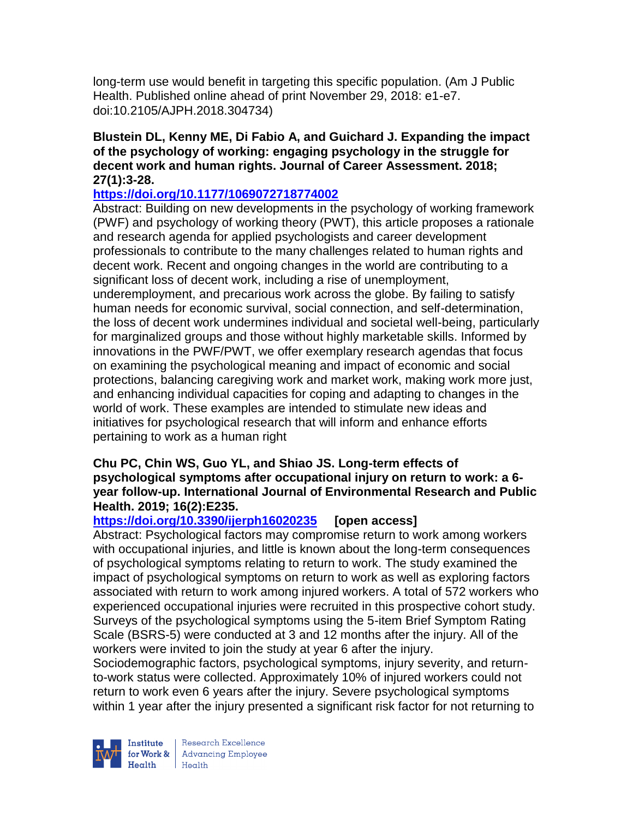long-term use would benefit in targeting this specific population. (Am J Public Health. Published online ahead of print November 29, 2018: e1-e7. doi:10.2105/AJPH.2018.304734)

### **Blustein DL, Kenny ME, Di Fabio A, and Guichard J. Expanding the impact of the psychology of working: engaging psychology in the struggle for decent work and human rights. Journal of Career Assessment. 2018; 27(1):3-28.**

# **<https://doi.org/10.1177/1069072718774002>**

Abstract: Building on new developments in the psychology of working framework (PWF) and psychology of working theory (PWT), this article proposes a rationale and research agenda for applied psychologists and career development professionals to contribute to the many challenges related to human rights and decent work. Recent and ongoing changes in the world are contributing to a significant loss of decent work, including a rise of unemployment, underemployment, and precarious work across the globe. By failing to satisfy human needs for economic survival, social connection, and self-determination, the loss of decent work undermines individual and societal well-being, particularly for marginalized groups and those without highly marketable skills. Informed by innovations in the PWF/PWT, we offer exemplary research agendas that focus on examining the psychological meaning and impact of economic and social protections, balancing caregiving work and market work, making work more just, and enhancing individual capacities for coping and adapting to changes in the world of work. These examples are intended to stimulate new ideas and initiatives for psychological research that will inform and enhance efforts pertaining to work as a human right

### **Chu PC, Chin WS, Guo YL, and Shiao JS. Long-term effects of psychological symptoms after occupational injury on return to work: a 6 year follow-up. International Journal of Environmental Research and Public Health. 2019; 16(2):E235.**

# **<https://doi.org/10.3390/ijerph16020235> [open access]**

Abstract: Psychological factors may compromise return to work among workers with occupational injuries, and little is known about the long-term consequences of psychological symptoms relating to return to work. The study examined the impact of psychological symptoms on return to work as well as exploring factors associated with return to work among injured workers. A total of 572 workers who experienced occupational injuries were recruited in this prospective cohort study. Surveys of the psychological symptoms using the 5-item Brief Symptom Rating Scale (BSRS-5) were conducted at 3 and 12 months after the injury. All of the workers were invited to join the study at year 6 after the injury.

Sociodemographic factors, psychological symptoms, injury severity, and returnto-work status were collected. Approximately 10% of injured workers could not return to work even 6 years after the injury. Severe psychological symptoms within 1 year after the injury presented a significant risk factor for not returning to



Research Excellence **Institute** Research Excellence<br> **For Work &**<br>
Marth Harlth Harlth  $Heath$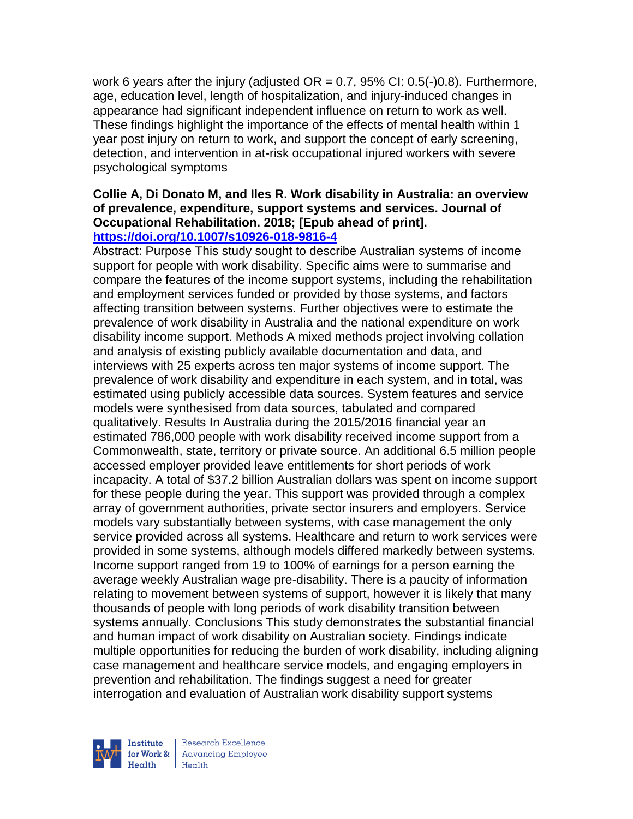work 6 years after the injury (adjusted  $OR = 0.7$ , 95% CI:  $0.5(-)0.8$ ). Furthermore, age, education level, length of hospitalization, and injury-induced changes in appearance had significant independent influence on return to work as well. These findings highlight the importance of the effects of mental health within 1 year post injury on return to work, and support the concept of early screening, detection, and intervention in at-risk occupational injured workers with severe psychological symptoms

#### **Collie A, Di Donato M, and Iles R. Work disability in Australia: an overview of prevalence, expenditure, support systems and services. Journal of Occupational Rehabilitation. 2018; [Epub ahead of print]. <https://doi.org/10.1007/s10926-018-9816-4>**

Abstract: Purpose This study sought to describe Australian systems of income support for people with work disability. Specific aims were to summarise and compare the features of the income support systems, including the rehabilitation and employment services funded or provided by those systems, and factors affecting transition between systems. Further objectives were to estimate the prevalence of work disability in Australia and the national expenditure on work disability income support. Methods A mixed methods project involving collation and analysis of existing publicly available documentation and data, and interviews with 25 experts across ten major systems of income support. The prevalence of work disability and expenditure in each system, and in total, was estimated using publicly accessible data sources. System features and service models were synthesised from data sources, tabulated and compared qualitatively. Results In Australia during the 2015/2016 financial year an estimated 786,000 people with work disability received income support from a Commonwealth, state, territory or private source. An additional 6.5 million people accessed employer provided leave entitlements for short periods of work incapacity. A total of \$37.2 billion Australian dollars was spent on income support for these people during the year. This support was provided through a complex array of government authorities, private sector insurers and employers. Service models vary substantially between systems, with case management the only service provided across all systems. Healthcare and return to work services were provided in some systems, although models differed markedly between systems. Income support ranged from 19 to 100% of earnings for a person earning the average weekly Australian wage pre-disability. There is a paucity of information relating to movement between systems of support, however it is likely that many thousands of people with long periods of work disability transition between systems annually. Conclusions This study demonstrates the substantial financial and human impact of work disability on Australian society. Findings indicate multiple opportunities for reducing the burden of work disability, including aligning case management and healthcare service models, and engaging employers in prevention and rehabilitation. The findings suggest a need for greater interrogation and evaluation of Australian work disability support systems



Research Excellence for Work & | Advancing Employee Health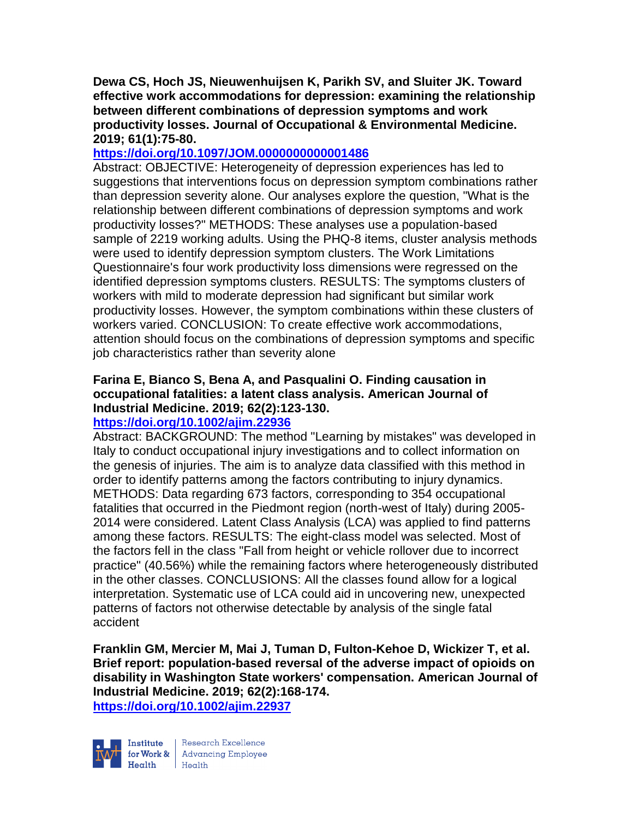**Dewa CS, Hoch JS, Nieuwenhuijsen K, Parikh SV, and Sluiter JK. Toward effective work accommodations for depression: examining the relationship between different combinations of depression symptoms and work productivity losses. Journal of Occupational & Environmental Medicine. 2019; 61(1):75-80.** 

# **<https://doi.org/10.1097/JOM.0000000000001486>**

Abstract: OBJECTIVE: Heterogeneity of depression experiences has led to suggestions that interventions focus on depression symptom combinations rather than depression severity alone. Our analyses explore the question, "What is the relationship between different combinations of depression symptoms and work productivity losses?" METHODS: These analyses use a population-based sample of 2219 working adults. Using the PHQ-8 items, cluster analysis methods were used to identify depression symptom clusters. The Work Limitations Questionnaire's four work productivity loss dimensions were regressed on the identified depression symptoms clusters. RESULTS: The symptoms clusters of workers with mild to moderate depression had significant but similar work productivity losses. However, the symptom combinations within these clusters of workers varied. CONCLUSION: To create effective work accommodations, attention should focus on the combinations of depression symptoms and specific job characteristics rather than severity alone

# **Farina E, Bianco S, Bena A, and Pasqualini O. Finding causation in occupational fatalities: a latent class analysis. American Journal of Industrial Medicine. 2019; 62(2):123-130.**

# **<https://doi.org/10.1002/ajim.22936>**

Abstract: BACKGROUND: The method "Learning by mistakes" was developed in Italy to conduct occupational injury investigations and to collect information on the genesis of injuries. The aim is to analyze data classified with this method in order to identify patterns among the factors contributing to injury dynamics. METHODS: Data regarding 673 factors, corresponding to 354 occupational fatalities that occurred in the Piedmont region (north-west of Italy) during 2005- 2014 were considered. Latent Class Analysis (LCA) was applied to find patterns among these factors. RESULTS: The eight-class model was selected. Most of the factors fell in the class "Fall from height or vehicle rollover due to incorrect practice" (40.56%) while the remaining factors where heterogeneously distributed in the other classes. CONCLUSIONS: All the classes found allow for a logical interpretation. Systematic use of LCA could aid in uncovering new, unexpected patterns of factors not otherwise detectable by analysis of the single fatal accident

**Franklin GM, Mercier M, Mai J, Tuman D, Fulton-Kehoe D, Wickizer T, et al. Brief report: population-based reversal of the adverse impact of opioids on disability in Washington State workers' compensation. American Journal of Industrial Medicine. 2019; 62(2):168-174. <https://doi.org/10.1002/ajim.22937>** 



Research Excellence Financial Research Excellence<br>
Financing Employee<br>
Realth<br>
Health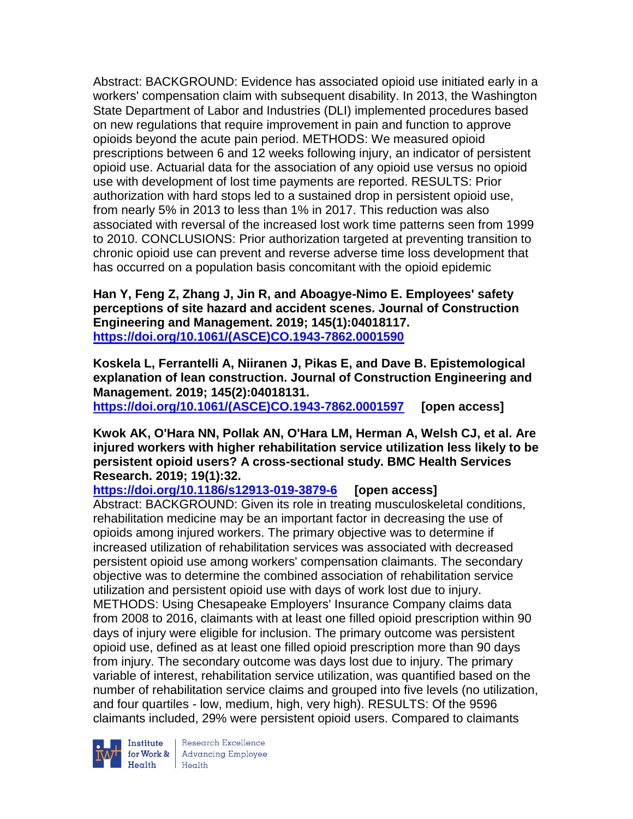Abstract: BACKGROUND: Evidence has associated opioid use initiated early in a workers' compensation claim with subsequent disability. In 2013, the Washington State Department of Labor and Industries (DLI) implemented procedures based on new regulations that require improvement in pain and function to approve opioids beyond the acute pain period. METHODS: We measured opioid prescriptions between 6 and 12 weeks following injury, an indicator of persistent opioid use. Actuarial data for the association of any opioid use versus no opioid use with development of lost time payments are reported. RESULTS: Prior authorization with hard stops led to a sustained drop in persistent opioid use, from nearly 5% in 2013 to less than 1% in 2017. This reduction was also associated with reversal of the increased lost work time patterns seen from 1999 to 2010. CONCLUSIONS: Prior authorization targeted at preventing transition to chronic opioid use can prevent and reverse adverse time loss development that has occurred on a population basis concomitant with the opioid epidemic

**Han Y, Feng Z, Zhang J, Jin R, and Aboagye-Nimo E. Employees' safety perceptions of site hazard and accident scenes. Journal of Construction Engineering and Management. 2019; 145(1):04018117. [https://doi.org/10.1061/\(ASCE\)CO.1943-7862.0001590](https://doi.org/10.1061/(ASCE)CO.1943-7862.0001590)** 

**Koskela L, Ferrantelli A, Niiranen J, Pikas E, and Dave B. Epistemological explanation of lean construction. Journal of Construction Engineering and Management. 2019; 145(2):04018131.**

**[https://doi.org/10.1061/\(ASCE\)CO.1943-7862.0001597](https://doi.org/10.1061/(ASCE)CO.1943-7862.0001597) [open access]**

### **Kwok AK, O'Hara NN, Pollak AN, O'Hara LM, Herman A, Welsh CJ, et al. Are injured workers with higher rehabilitation service utilization less likely to be persistent opioid users? A cross-sectional study. BMC Health Services Research. 2019; 19(1):32.**

**<https://doi.org/10.1186/s12913-019-3879-6> [open access]**

Abstract: BACKGROUND: Given its role in treating musculoskeletal conditions, rehabilitation medicine may be an important factor in decreasing the use of opioids among injured workers. The primary objective was to determine if increased utilization of rehabilitation services was associated with decreased persistent opioid use among workers' compensation claimants. The secondary objective was to determine the combined association of rehabilitation service utilization and persistent opioid use with days of work lost due to injury. METHODS: Using Chesapeake Employers' Insurance Company claims data from 2008 to 2016, claimants with at least one filled opioid prescription within 90 days of injury were eligible for inclusion. The primary outcome was persistent opioid use, defined as at least one filled opioid prescription more than 90 days from injury. The secondary outcome was days lost due to injury. The primary variable of interest, rehabilitation service utilization, was quantified based on the number of rehabilitation service claims and grouped into five levels (no utilization, and four quartiles - low, medium, high, very high). RESULTS: Of the 9596 claimants included, 29% were persistent opioid users. Compared to claimants



Institute Research Excellence<br>for Work & Advancing Employee<br>Health Health  $H_{\text{eath}}$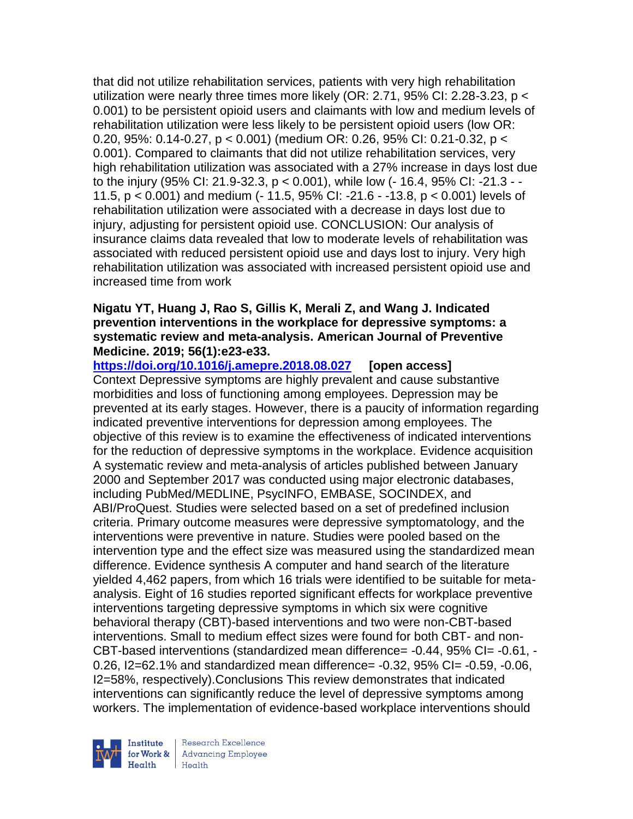that did not utilize rehabilitation services, patients with very high rehabilitation utilization were nearly three times more likely (OR: 2.71, 95% CI: 2.28-3.23, p < 0.001) to be persistent opioid users and claimants with low and medium levels of rehabilitation utilization were less likely to be persistent opioid users (low OR: 0.20, 95%: 0.14-0.27, p < 0.001) (medium OR: 0.26, 95% CI: 0.21-0.32, p < 0.001). Compared to claimants that did not utilize rehabilitation services, very high rehabilitation utilization was associated with a 27% increase in days lost due to the injury (95% CI: 21.9-32.3, p < 0.001), while low (- 16.4, 95% CI: -21.3 - - 11.5, p < 0.001) and medium (- 11.5, 95% CI: -21.6 - -13.8, p < 0.001) levels of rehabilitation utilization were associated with a decrease in days lost due to injury, adjusting for persistent opioid use. CONCLUSION: Our analysis of insurance claims data revealed that low to moderate levels of rehabilitation was associated with reduced persistent opioid use and days lost to injury. Very high rehabilitation utilization was associated with increased persistent opioid use and increased time from work

## **Nigatu YT, Huang J, Rao S, Gillis K, Merali Z, and Wang J. Indicated prevention interventions in the workplace for depressive symptoms: a systematic review and meta-analysis. American Journal of Preventive Medicine. 2019; 56(1):e23-e33.**

**<https://doi.org/10.1016/j.amepre.2018.08.027> [open access]** Context Depressive symptoms are highly prevalent and cause substantive morbidities and loss of functioning among employees. Depression may be prevented at its early stages. However, there is a paucity of information regarding indicated preventive interventions for depression among employees. The objective of this review is to examine the effectiveness of indicated interventions for the reduction of depressive symptoms in the workplace. Evidence acquisition A systematic review and meta-analysis of articles published between January 2000 and September 2017 was conducted using major electronic databases, including PubMed/MEDLINE, PsycINFO, EMBASE, SOCINDEX, and ABI/ProQuest. Studies were selected based on a set of predefined inclusion criteria. Primary outcome measures were depressive symptomatology, and the interventions were preventive in nature. Studies were pooled based on the intervention type and the effect size was measured using the standardized mean difference. Evidence synthesis A computer and hand search of the literature yielded 4,462 papers, from which 16 trials were identified to be suitable for metaanalysis. Eight of 16 studies reported significant effects for workplace preventive interventions targeting depressive symptoms in which six were cognitive behavioral therapy (CBT)-based interventions and two were non-CBT-based interventions. Small to medium effect sizes were found for both CBT- and non-CBT-based interventions (standardized mean difference= -0.44, 95% CI= -0.61, - 0.26, I2=62.1% and standardized mean difference= -0.32, 95% CI= -0.59, -0.06, I2=58%, respectively).Conclusions This review demonstrates that indicated interventions can significantly reduce the level of depressive symptoms among workers. The implementation of evidence-based workplace interventions should

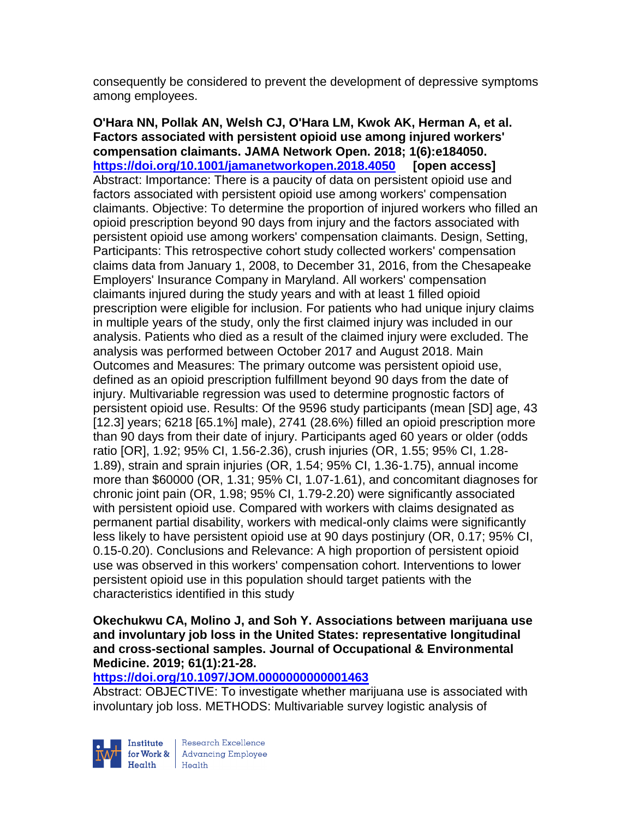consequently be considered to prevent the development of depressive symptoms among employees.

**O'Hara NN, Pollak AN, Welsh CJ, O'Hara LM, Kwok AK, Herman A, et al. Factors associated with persistent opioid use among injured workers' compensation claimants. JAMA Network Open. 2018; 1(6):e184050. <https://doi.org/10.1001/jamanetworkopen.2018.4050> [open access]** Abstract: Importance: There is a paucity of data on persistent opioid use and factors associated with persistent opioid use among workers' compensation claimants. Objective: To determine the proportion of injured workers who filled an opioid prescription beyond 90 days from injury and the factors associated with persistent opioid use among workers' compensation claimants. Design, Setting, Participants: This retrospective cohort study collected workers' compensation claims data from January 1, 2008, to December 31, 2016, from the Chesapeake Employers' Insurance Company in Maryland. All workers' compensation claimants injured during the study years and with at least 1 filled opioid prescription were eligible for inclusion. For patients who had unique injury claims in multiple years of the study, only the first claimed injury was included in our analysis. Patients who died as a result of the claimed injury were excluded. The analysis was performed between October 2017 and August 2018. Main Outcomes and Measures: The primary outcome was persistent opioid use, defined as an opioid prescription fulfillment beyond 90 days from the date of injury. Multivariable regression was used to determine prognostic factors of persistent opioid use. Results: Of the 9596 study participants (mean [SD] age, 43 [12.3] years; 6218 [65.1%] male), 2741 (28.6%) filled an opioid prescription more than 90 days from their date of injury. Participants aged 60 years or older (odds ratio [OR], 1.92; 95% CI, 1.56-2.36), crush injuries (OR, 1.55; 95% CI, 1.28- 1.89), strain and sprain injuries (OR, 1.54; 95% CI, 1.36-1.75), annual income more than \$60000 (OR, 1.31; 95% CI, 1.07-1.61), and concomitant diagnoses for chronic joint pain (OR, 1.98; 95% CI, 1.79-2.20) were significantly associated with persistent opioid use. Compared with workers with claims designated as permanent partial disability, workers with medical-only claims were significantly less likely to have persistent opioid use at 90 days postinjury (OR, 0.17; 95% CI, 0.15-0.20). Conclusions and Relevance: A high proportion of persistent opioid use was observed in this workers' compensation cohort. Interventions to lower persistent opioid use in this population should target patients with the characteristics identified in this study

### **Okechukwu CA, Molino J, and Soh Y. Associations between marijuana use and involuntary job loss in the United States: representative longitudinal and cross-sectional samples. Journal of Occupational & Environmental Medicine. 2019; 61(1):21-28.**

## **<https://doi.org/10.1097/JOM.0000000000001463>**

Abstract: OBJECTIVE: To investigate whether marijuana use is associated with involuntary job loss. METHODS: Multivariable survey logistic analysis of

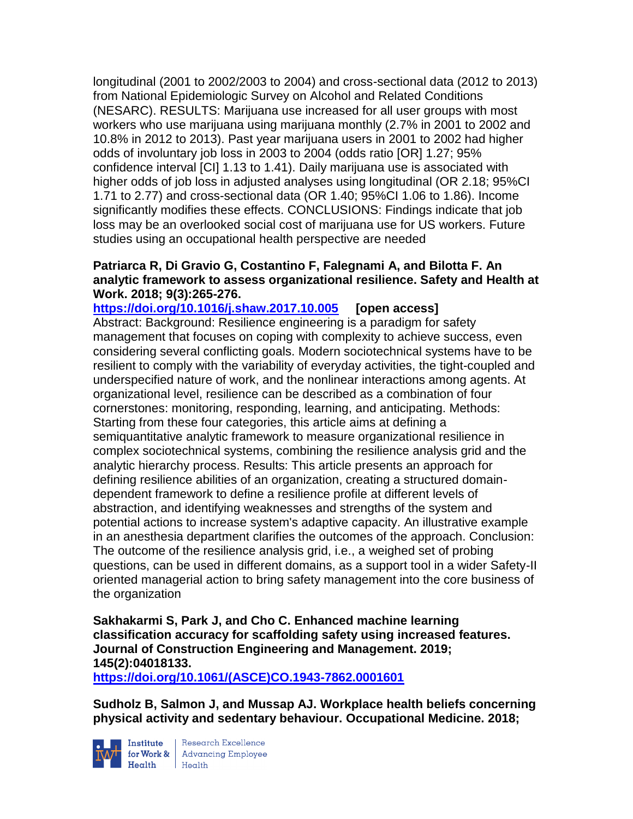longitudinal (2001 to 2002/2003 to 2004) and cross-sectional data (2012 to 2013) from National Epidemiologic Survey on Alcohol and Related Conditions (NESARC). RESULTS: Marijuana use increased for all user groups with most workers who use marijuana using marijuana monthly (2.7% in 2001 to 2002 and 10.8% in 2012 to 2013). Past year marijuana users in 2001 to 2002 had higher odds of involuntary job loss in 2003 to 2004 (odds ratio [OR] 1.27; 95% confidence interval [CI] 1.13 to 1.41). Daily marijuana use is associated with higher odds of job loss in adjusted analyses using longitudinal (OR 2.18; 95%CI 1.71 to 2.77) and cross-sectional data (OR 1.40; 95%CI 1.06 to 1.86). Income significantly modifies these effects. CONCLUSIONS: Findings indicate that job loss may be an overlooked social cost of marijuana use for US workers. Future studies using an occupational health perspective are needed

## **Patriarca R, Di Gravio G, Costantino F, Falegnami A, and Bilotta F. An analytic framework to assess organizational resilience. Safety and Health at Work. 2018; 9(3):265-276.**

**<https://doi.org/10.1016/j.shaw.2017.10.005> [open access]** Abstract: Background: Resilience engineering is a paradigm for safety management that focuses on coping with complexity to achieve success, even considering several conflicting goals. Modern sociotechnical systems have to be resilient to comply with the variability of everyday activities, the tight-coupled and underspecified nature of work, and the nonlinear interactions among agents. At organizational level, resilience can be described as a combination of four cornerstones: monitoring, responding, learning, and anticipating. Methods: Starting from these four categories, this article aims at defining a semiquantitative analytic framework to measure organizational resilience in complex sociotechnical systems, combining the resilience analysis grid and the analytic hierarchy process. Results: This article presents an approach for defining resilience abilities of an organization, creating a structured domaindependent framework to define a resilience profile at different levels of abstraction, and identifying weaknesses and strengths of the system and potential actions to increase system's adaptive capacity. An illustrative example in an anesthesia department clarifies the outcomes of the approach. Conclusion: The outcome of the resilience analysis grid, i.e., a weighed set of probing questions, can be used in different domains, as a support tool in a wider Safety-II oriented managerial action to bring safety management into the core business of the organization

**Sakhakarmi S, Park J, and Cho C. Enhanced machine learning classification accuracy for scaffolding safety using increased features. Journal of Construction Engineering and Management. 2019; 145(2):04018133.**

**[https://doi.org/10.1061/\(ASCE\)CO.1943-7862.0001601](https://doi.org/10.1061/(ASCE)CO.1943-7862.0001601)** 

**Sudholz B, Salmon J, and Mussap AJ. Workplace health beliefs concerning physical activity and sedentary behaviour. Occupational Medicine. 2018;** 



**Institute** Research Excellence<br> **for Work &** Advancing Employee<br> **Health** Health